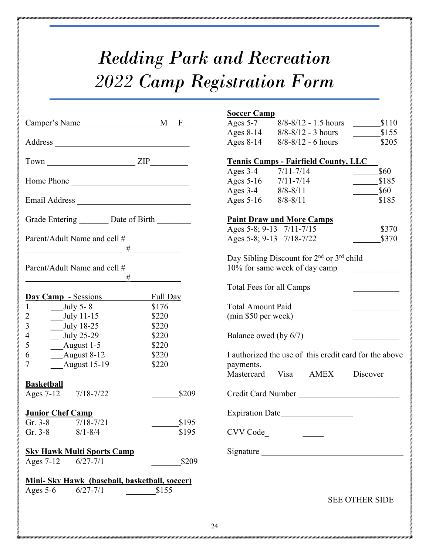## *Redding Park and Recreation 2022 Camp Registration Form*

|                                          |                                                  |          | <b>Soccer Camp</b>                          |                                                                   |                       |
|------------------------------------------|--------------------------------------------------|----------|---------------------------------------------|-------------------------------------------------------------------|-----------------------|
|                                          |                                                  |          | Ages $5-7$                                  | $8/8 - 8/12 - 1.5$ hours                                          | \$110                 |
|                                          |                                                  |          |                                             | Ages $8-14$ $8/8-8/12 - 3$ hours                                  | $\frac{\$155}{\$}$    |
|                                          |                                                  |          | Ages $8-14$                                 | $8/8 - 8/12 - 6$ hours                                            | \$205                 |
| $Town$ $ZIP$                             |                                                  |          | <b>Tennis Camps - Fairfield County, LLC</b> |                                                                   |                       |
|                                          |                                                  |          | Ages $3-4$                                  | $7/11 - 7/14$                                                     | \$60                  |
| Home Phone                               |                                                  |          | Ages $5-16$ $7/11-7/14$                     |                                                                   | \$185                 |
|                                          |                                                  |          | Ages 3-4 8/8-8/11                           |                                                                   | \$60                  |
| Email Address                            |                                                  |          | Ages $5-16$ $8/8-8/11$                      |                                                                   | \$185                 |
|                                          | Grade Entering _________ Date of Birth _________ |          | <b>Paint Draw and More Camps</b>            |                                                                   |                       |
|                                          |                                                  |          |                                             | Ages 5-8; 9-13 7/11-7/15                                          | $\frac{\$370}{\ }$    |
|                                          | Parent/Adult Name and cell #                     |          |                                             | Ages 5-8; 9-13 7/18-7/22                                          | \$370                 |
|                                          | #                                                |          |                                             | Day Sibling Discount for 2 <sup>nd</sup> or 3 <sup>rd</sup> child |                       |
|                                          | Parent/Adult Name and cell #                     |          |                                             | 10% for same week of day camp                                     |                       |
|                                          | #                                                |          | Total Fees for all Camps                    |                                                                   |                       |
|                                          | Day Camp - Sessions                              | Full Day |                                             |                                                                   |                       |
| $_{\text{July 5-8}}$                     |                                                  | \$176    | <b>Total Amount Paid</b>                    |                                                                   |                       |
| $\overline{2}$<br>$_{\text{July 11-15}}$ |                                                  | \$220    | (min \$50 per week)                         |                                                                   |                       |
| 3<br>July 18-25                          |                                                  | \$220    |                                             |                                                                   |                       |
| $\overline{4}$<br>$_{\text{July 25-29}}$ |                                                  | \$220    | Balance owed (by 6/7)                       |                                                                   |                       |
| 5<br>___August 1-5                       |                                                  | \$220    |                                             |                                                                   |                       |
| <b>August 8-12</b><br>6                  |                                                  | \$220    |                                             | I authorized the use of this credit card for the above            |                       |
| <b>August 15-19</b><br>7                 |                                                  | \$220    | payments.                                   |                                                                   |                       |
|                                          |                                                  |          |                                             | Mastercard Visa AMEX                                              | Discover              |
| <b>Basketball</b><br>Ages $7-12$         | $7/18 - 7/22$                                    | \$209    |                                             | Credit Card Number                                                |                       |
|                                          |                                                  |          |                                             |                                                                   |                       |
| <b>Junior Chef Camp</b>                  |                                                  |          |                                             | Expiration Date                                                   |                       |
| Gr. $3-8$                                | $7/18 - 7/21$                                    | \$195    |                                             |                                                                   |                       |
| $Gr. 3-8$                                | $8/1 - 8/4$                                      | \$195    |                                             | CVV Code                                                          |                       |
|                                          | <b>Sky Hawk Multi Sports Camp</b>                |          |                                             | Signature                                                         |                       |
| Ages $7-12$                              | $6/27 - 7/1$                                     | \$209    |                                             |                                                                   |                       |
|                                          | Mini-Sky Hawk (baseball, basketball, soccer)     |          |                                             |                                                                   |                       |
| Ages $5-6$                               | $6/27 - 7/1$                                     | \$155    |                                             |                                                                   |                       |
|                                          |                                                  |          |                                             |                                                                   | <b>SEE OTHER SIDE</b> |